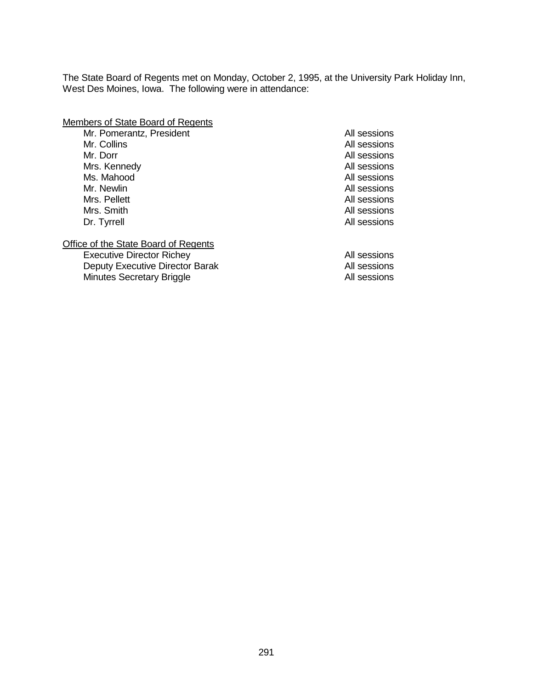The State Board of Regents met on Monday, October 2, 1995, at the University Park Holiday Inn, West Des Moines, Iowa. The following were in attendance:

# **Members of State Board of Regents<br>Mr. Pomerantz. President**

| Mr. Pomerantz, Pre |
|--------------------|
| Mr. Collins        |
| Mr. Dorr           |
| Mrs. Kennedy       |
| Ms. Mahood         |
| Mr. Newlin         |
| Mrs. Pellett       |
| Mrs. Smith         |
| Dr. Tyrrell        |

#### Office of the State Board of Regents

Executive Director Richey **All sessions** Deputy Executive Director Barak **All sessions** Minutes Secretary Briggle **All sessions** All sessions

All sessions All sessions All sessions All sessions All sessions All sessions All sessions All sessions All sessions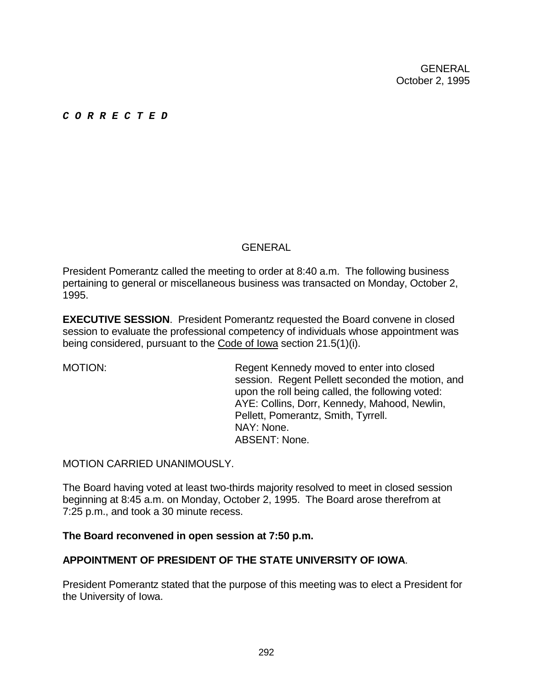GENERAL October 2, 1995

#### **C O R R E C T E D**

# GENERAL

President Pomerantz called the meeting to order at 8:40 a.m. The following business pertaining to general or miscellaneous business was transacted on Monday, October 2, 1995.

**EXECUTIVE SESSION**. President Pomerantz requested the Board convene in closed session to evaluate the professional competency of individuals whose appointment was being considered, pursuant to the Code of Iowa section 21.5(1)(i).

MOTION: Regent Kennedy moved to enter into closed session. Regent Pellett seconded the motion, and upon the roll being called, the following voted: AYE: Collins, Dorr, Kennedy, Mahood, Newlin, Pellett, Pomerantz, Smith, Tyrrell. NAY: None. ABSENT: None.

MOTION CARRIED UNANIMOUSLY.

The Board having voted at least two-thirds majority resolved to meet in closed session beginning at 8:45 a.m. on Monday, October 2, 1995. The Board arose therefrom at 7:25 p.m., and took a 30 minute recess.

### **The Board reconvened in open session at 7:50 p.m.**

## **APPOINTMENT OF PRESIDENT OF THE STATE UNIVERSITY OF IOWA**.

President Pomerantz stated that the purpose of this meeting was to elect a President for the University of Iowa.